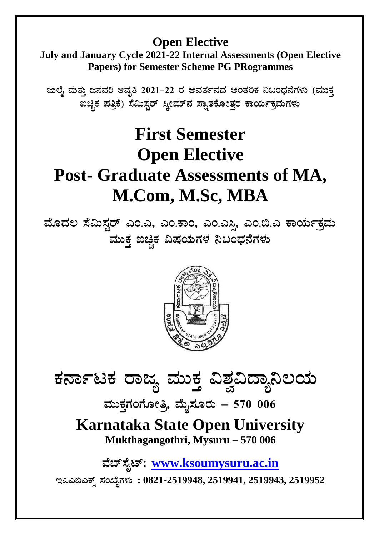# **Open Elective**

**July and January Cycle 2021-22 Internal Assessments (Open Elective Papers) for Semester Scheme PG PRogrammes**

**dįÉÊ ªÀÄvÀÄ Û d£ÀªÀj DªÀÈw 2021-22 gÀ DªÀvÀð£ÀzÀ DAvÀjPÀ ¤§AzsÀ£ÉUÀ¼ÀÄ (ªÀÄÄPÀÛ**  ಖಚ್ಛಿಕ ಪತ್ರಿಕೆ) ಸೆಮಿಸ್ಟರ್ ಸ್ತೀಮ್**ನ ಸ್ನಾತಕೋತ್ತರ ಕಾರ್ಯಕ್ರಮಗಳು** 

# **First Semester Open Elective Post- Graduate Assessments of MA, M.Com, M.Sc, MBA**

ಮೊದಲ ಸೆಮಿಸ್ಟರ್ ಎಂ.ಎ, ಎಂ.ಕಾಂ, ಎಂ.ಎಸ್ಸಿ, ಎಂ.ಬಿ.ಎ ಕಾರ್ಯಕ್ರಮ ಮುಕ್ತ ಐಚ್ಚಿಕ ವಿಷಯಗಳ ನಿಬಂಧನೆಗಳು



ಕರ್ನಾಟಕ ರಾಜ್ಯ ಮುಕ್ತ ವಿಶ್ವವಿದ್ಯಾನಿಲಯ

 $\frac{1}{2}$ ಮೆಹೊಸ್ಸಿ ಮೈಸೂರು – 570 006

**Karnataka State Open University Mukthagangothri, Mysuru – 570 006**

**ªÉ¨ï¸ÉÊmï: [www.ksoumysuru.ac.in](http://www.ksoumysuru.ac.in/)**

**E¦J©JPïì ¸ÀASÉåUÀ¼ÀÄ : 0821-2519948, 2519941, 2519943, 2519952**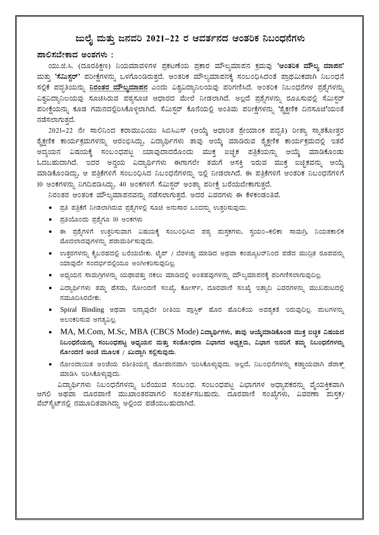#### <u>ಜುಲೈ</u> ಮತ್ತು ಜನವರಿ 2021–22 ರ ಆವರ್ತನದ ಆಂತರಿಕ ನಿಬಂಧನೆಗಳು

#### $\overline{a}$ ಾಲಿಸಬೇಕಾದ ಅಂಶಗಳು :

A.ಜಿ.ಸಿ. (ದೂರಶಿಕ್ಷಣ) ನಿಯಮಾವಳಿಗಳ ಪ್ರಕಟಣೆಯ ಪ್ರಕಾರ ಮೌಲ್ಯಮಾಪನ ಕ್ರಮವು **'ಆಂತರಿಕ ಮೌಲ್ಯ ಮಾಪನ'** <mark>ಮತ್ತು **'ಸೆಮಿಸ್ಷರ್**' ಪರೀಕ್ಷೆಗಳನ್ನು ಒಳಗೊಂಡಿರುತ್ತದೆ. ಆಂತರಿಕ ಮೌಲ್ಯಮಾಪನಕ್ಕೆ ಸಂಬಂಧಿಸಿದಂತೆ ಪ್ರಾಥಮಿಕವಾಗಿ ನಿಬಂಧನೆ</mark> ಸಲ್ಲಿಕೆ ಪದ್ದತಿಯನ್ನು <mark>ನಿರಂತರ ಮೌಲ್ಯಮಾಪನ</mark> ಎಂದು ವಿಶ್ವವಿದ್ಯಾನಿಲಯವು ಪರಿಗಣಿಸಿದೆ. ಆಂತರಿಕ ನಿಬಂಧನೆಗಳ ಪ್ರಶ್ನೆಗಳನ್ನು ವಿಶ್ವವಿದ್ಯಾನಿಲಯವು ಸೂಚಿಸಿರುವ ಪಠ್ಯಸೂಚಿ ಆಧಾರದ ಮೇಲೆ ನೀಡಲಾಗಿದೆ. ಅಲ್ಲದೆ ಪ್ರಶ್ನೆಗಳನ್ನು ರೂಪಿಸುವಲ್ಲಿ ಸೆಮಿಸ್ಟರ್ ಪರೀಕ್ಷೆಯನ್ನು ಕೂಡ ಗಮನದಲ್ಲಿರಿಸಿಕೊಳ್ಳಲಾಗಿದೆ. ಸೆಮಿಸ್ಟರ್ ಕೊನೆಯಲ್ಲಿ ಅಂತಿಮ ಪರೀಕ್ಷೆಗಳನ್ನು 'ಶೈಕ್ಷಣಿಕ ದಿನಸೂಚಿ'ಯಂತೆ ನಡೆಸಲಾಗುತ್ತದೆ.

2021-22 ನೇ ಸಾಲಿನಿಂದ ಕರಾಮುವಿಯು ಸಿಬಿಸಿಎಸ್ (ಆಯ್ಕೆ ಆಧಾರಿತ ಶ್ರೇಯಾಂಕ ಪದ್ದತಿ) ರೀತ್ಯಾ ಸ್ನಾತಕೋತ್ತರ ಶೈಕ್ಷಣಿಕ ಕಾರ್ಯಕ್ರಮಗಳನ್ನು ಆರಂಭಿಸಿದ್ದು, ವಿದ್ಯಾರ್ಥಿಗಳು ತಾವು ಆಯ್ಕೆ ಮಾಡಿರುವ ಶೈಕ್ಷಣಿಕ ಕಾರ್ಯಕ್ರಮದಲ್ಲಿ ಇತರೆ ಅದ್ಯಯನ ವಿಷಯಕ್ಕೆ ಸಂಬಂಧಪಟ್ಟ ಯಾವುದಾದರೊಂದು ಮುಕ್ತ ಐಚ್ಛಿಕ ಪತ್ರಿಕೆಯನ್ನು ಆಯ್ಕೆ ಮಾಡಿಕೊಂಡು ಓದಬಹುದಾಗಿದೆ. ಇದರ ಅನ್ವಯ ವಿದ್ಯಾರ್ಥಿಗಳು ಈಗಾಗಲೇ ತಮಗೆ ಆಸಕ್ತಿ ಇರುವ ಮುಕ್ತ ಐಚ್ಛಿಕವನ್ನು ಆಯ್ಕೆ ಮಾಡಿಕೊಂಡಿದ್ದು, ಆ ಪತ್ರಿಕೆಗಳಿಗೆ ಸಂಬಂಧಿಸಿದ ನಿಬಂಧನೆಗಳನ್ನು ಇಲ್ಲಿ ನೀಡಲಾಗಿದೆ. ಈ ಪತ್ರಿಕೆಗಳಿಗೆ ಆಂತರಿಕ ನಿಬಂಧನೆಗಳಿಗೆ 10 ಅಂಕಗಳನ್ನು ನಿಗದಿಪಡಿಸಿದ್ದು, 40 ಅಂಕಗಳಿಗೆ ಸೆಮಿಸ್ಟರ್ ಅಂತ್ಯಾ ಪರೀಕ್ಷೆ ಬರೆಯಬೇಕಾಗುತ್ತದೆ.

ನಿರಂತರ ಆಂತರಿಕ ಮೌಲ್ಯಮಾಪನವನ್ನು ನಡೆಸಲಾಗುತ್ತದೆ. ಅದರ ವಿವರಗಳು ಈ ಕೆಳಕಂಡಂತಿವೆ.

- ಪ್ರತಿ ಪತ್ರಿಕೆಗೆ ನೀಡಲಾಗಿರುವ ಪ್ರಶ್ನೆಗಳಲ್ಲಿ ಸೂಚಿ ಅನುಸಾರ ಒಂದನ್ನು ಉತ್ತರಿಸುವುದು.
- ಪ್ರತಿಯೊಂದು ಪ್ರಶ್ನೆಗೂ 10 ಅಂಕಗಳು
- ಈ ಪ್ರಶ್ನೆಗಳಿಗೆ ಉತ್ತರಿಸುವಾಗ ವಿಷಯಕ್ಕೆ ಸಂಬಂಧಿಸಿದ ಪಠ್ಯ ಮಸ್ತಕಗಳು, ಸ್ವಯಂ–ಕಲಿಕಾ ಸಾಮಗ್ರಿ, ನಿಯತಕಾಲಿಕ ಮೊದಲಾದವುಗಳನ್ನು ಪರಾಮರ್ಶಿಸುವುದು.
- ಉತ್ತರಗಳನ್ನು ಕೈಬರಹದಲ್ಲಿ ಬರೆಯಬೇಕು. ಟೈಪ್ / ಬೆರಳಚ್ಚು ಮಾಡಿದ ಅಥವಾ ಕಂಪ್ಯೂಟರ್ನಿಂದ ಪಡೆದ ಮುದ್ರಿತ ರೂಪವನ್ನು ಯಾವುದೇ ಸಂದರ್ಭದಲ್ಲಿಯೂ ಅಂಗೀಕರಿಸುವುದಿಲ್ಲ.
- ಅಧ್ಯಯನ ಸಾಮಗ್ರಿಗಳನ್ನು ಯಥಾವತ್ತು ನಕಲು ಮಾಡಿದಲ್ಲಿ ಅಂತಹವುಗಳನ್ನು ಮೌಲ್ಯಮಾಪನಕ್ಕೆ ಪರಿಗಣಿಸಲಾಗುವುದಿಲ್ಲ.
- ವಿದ್ಯಾರ್ಥಿಗಳು ತಮ್ಮ ಹೆಸರು, ನೋಂದಣಿ ಸಂಖ್ಯೆ, ಕೋರ್ಸ್, ದೂರವಾಣಿ ಸಂಖ್ಯೆ ಇತ್ಯಾದಿ ವಿವರಗಳನ್ನು ಮುಖಮಟದಲ್ಲಿ ನಮೂದಿಸಿರಬೇಕು.
- Spiral Binding ಅಥವಾ ಇನ್ನಾವುದೇ ರೀತಿಯ ಪ್ಲಾಸ್ಟಿಕ್ ಹೊರ ಹೊದಿಕೆಯ ಅವಶ್ಯಕತೆ ಇರುವುದಿಲ್ಲ. ಮಟಗಳನ್ನು ಅಲಂಕರಿಸುವ ಅಗತ್ಯವಿಲ್ಲ.
- MA, M.Com, M.Sc, MBA (CBCS Mode) ವಿದ್ಯಾರ್ಥಿಗಳು, ತಾವು ಆಯ್ಕೆಮಾಡಿಕೊಂಡ ಮುಕ್ತ ಐಚ್ಛಿಕ ವಿಷಯದ **¤§AzsÀ£ÉAiÀÄ£ÀÄß ¸ÀA§AzsÀ¥ÀlÖ CzsÀåAiÀÄ£À ªÀÄvÀÄÛ ¸ÀA±ÉÆÃzsÀ£Á «¨sÁUÀzÀ CzsÀåPÀëgÀÄ, «¨sÁUÀ EªÀjUÉ vÀªÀÄä ¤§AzsÀ£ÉUÀ¼À£ÀÄß £ÉÆÃAzÀt CAZÉ ªÀÄÆ®PÀ / RÄzÁÝV ¸À°è¸ÀĪÀÅzÀÄ.**
- ನೋಂದಾಯಿತ ಅಂಚೆಯ ರಶೀತಿಯನ್ನ ಜೋಪಾನವಾಗಿ ಇರಿಸಿಕೊಳ್ಳುವುದು. ಅಲ್ಲದೆ, ನಿಬಂಧನೆಗಳನ್ನು ಕಡ್ಡಾಯವಾಗಿ ಜೆರಾಕ್ಸ್ ಮಾಡಿಸಿ ಇರಿಸಿಕೊಳ್ಳುವುದು.

ವಿದ್ಯಾರ್ಥಿಗಳು ನಿಬಂಧನೆಗಳನ್ನು ಬರೆಯುವ ಸಂಬಂಧ. ಸಂಬಂಧಪಟ್ಟ ವಿಭಾಗಗಳ ಅಧ್ಯಾಪಕರನ್ನು ವೈಯಕ್ತಿಕವಾಗಿ ಆಗಲಿ ಅಥವಾ ದೂರವಾಣಿ ಮುಖಾಂತರವಾಗಲಿ ಸಂಪರ್ಕಿಸಬಹುದು. ದೂರವಾಣಿ ಸಂಖ್ಯೆಗಳು, ವಿವರಣಾ ಮಸಕ/ ವೆಬ್ ಸೈಟ್ ನಲ್ಲಿ ನಮೂದಿತವಾಗಿದ್ದು ಅಲ್ಲಿಂದ ಪಡೆಯಬಹುದಾಗಿದೆ.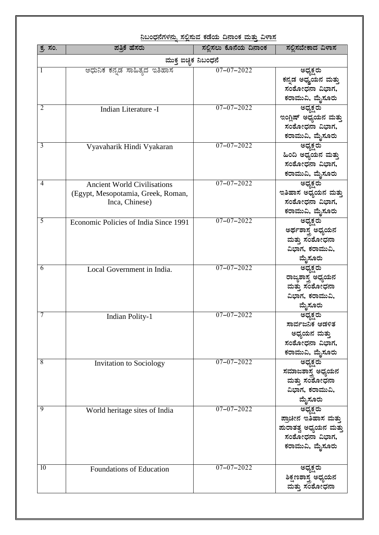| <u>ನಿಬಂಧನೆಗಳನ್ನು ಸಲ್ಲಿಸುವ ಕಡೆಯ ದಿನಾಂಕ ಮತ್ತು ವಿಳಾಸ</u> |                                       |                       |                                       |
|-------------------------------------------------------|---------------------------------------|-----------------------|---------------------------------------|
| ಕ್ಕ ಸಂ.                                               | ಪತ್ತಿಕೆ ಹೆಸರು                         | ಸಲ್ಲಿಸಲು ಕೊನೆಯ ದಿನಾಂಕ | ಸಲ್ಲಿಸಬೇಕಾದ ವಿಳಾಸ                     |
| ಮುಕ್ತ ಐಚ್ಛಿಕ ನಿಬಂಧನೆ                                  |                                       |                       |                                       |
| 1                                                     | ಆಧುನಿಕ ಕನ್ನಡ ಸಾಹಿತ್ಯದ ಇತಿಹಾಸ          | $07 - 07 - 2022$      | ಅಧ್ಯಕ್ಷರು                             |
|                                                       |                                       |                       | ಕನ್ನಡ ಅಧ್ಙ್ರಯನ ಮತ್ತು                  |
|                                                       |                                       |                       | ಸಂಶೋಧನಾ ವಿಭಾಗ,                        |
|                                                       |                                       |                       | ಕರಾಮುವಿ, ಮೈಸೂರು                       |
| 2                                                     | Indian Literature -I                  | $07 - 07 - 2022$      | ಅಧ್ಯಕ್ಷರು                             |
|                                                       |                                       |                       | ಇಂಗ್ಲಿಷ್ ಅಧ್ಯಯನ ಮತ್ತು                 |
|                                                       |                                       |                       | ಸಂಶೋಧನಾ ವಿಭಾಗ,                        |
|                                                       |                                       |                       | ಕರಾಮುವಿ, ಮೈಸೂರು                       |
| 3                                                     | Vyavaharik Hindi Vyakaran             | $07 - 07 - 2022$      | ಅಧ್ಯಕ್ಷರು                             |
|                                                       |                                       |                       | ಹಿಂದಿ ಅಧ್ಯಯನ ಮತ್ತು                    |
|                                                       |                                       |                       | ಸಂಶೋಧನಾ ವಿಭಾಗ,                        |
|                                                       |                                       |                       | ಕರಾಮುವಿ, ಮೈಸೂರು                       |
| 4                                                     | <b>Ancient World Civilisations</b>    | $07 - 07 - 2022$      | ಅಧ್ಯಕ್ಷರು                             |
|                                                       | (Egypt, Mesopotamia, Greek, Roman,    |                       | ಇತಿಹಾಸ ಅಧ್ಯಯನ ಮತ್ತು                   |
|                                                       | Inca, Chinese)                        |                       | ಸಂಶೋಧನಾ ವಿಭಾಗ,                        |
|                                                       |                                       |                       | ಕರಾಮುವಿ, ಮೈಸೂರು                       |
| 5                                                     | Economic Policies of India Since 1991 | $07 - 07 - 2022$      | ಅಧ್ಯಕ್ಷರು                             |
|                                                       |                                       |                       | ಅರ್ಥಶಾಸ್ತ್ರ ಅಧ್ಯಯನ                    |
|                                                       |                                       |                       | ಮತ್ತು ಸಂಶೋಧನಾ<br>ವಿಭಾಗ, ಕರಾಮುವಿ,      |
|                                                       |                                       |                       |                                       |
| 6                                                     | Local Government in India.            | $07 - 07 - 2022$      | ಮೈಸೂರು<br>ಅಧ್ಯಕ್ಷರು                   |
|                                                       |                                       |                       | ರಾಜ್ಯಶಾಸ್ತ್ರ ಅಧ್ಯಯನ                   |
|                                                       |                                       |                       | ಮತ್ತು ಸಂಶೋಧನಾ                         |
|                                                       |                                       |                       | ವಿಭಾಗ, ಕರಾಮುವಿ,                       |
|                                                       |                                       |                       | ಮೈಸೂರು                                |
| 7                                                     | <b>Indian Polity-1</b>                | $07 - 07 - 2022$      | ಅಧ್ಯಕ್ಷರು                             |
|                                                       |                                       |                       | ಸಾರ್ವಜನಿಕ ಆಡಳಿತ                       |
|                                                       |                                       |                       | ಅಧ್ಯಯನ ಮತ್ತು                          |
|                                                       |                                       |                       | ಸಂಶೋಧನಾ ವಿಭಾಗ,                        |
|                                                       |                                       |                       | ಕರಾಮುವಿ, ಮೈಸೂರು                       |
| 8                                                     | <b>Invitation to Sociology</b>        | $07 - 07 - 2022$      | ಅಧ್ಯಕ್ಷರು                             |
|                                                       |                                       |                       | ಸಮಾಜಶಾಸ್ತ್ರ ಅಧ್ಯಯನ                    |
|                                                       |                                       |                       | ಮತ್ತು ಸಂಶೋಧನಾ                         |
|                                                       |                                       |                       | ವಿಭಾಗ, ಕರಾಮುವಿ,                       |
|                                                       |                                       |                       | ಮೈಸೂರು                                |
| 9                                                     | World heritage sites of India         | $07 - 07 - 2022$      | ಅಧ್ಯಕ್ಷರು                             |
|                                                       |                                       |                       | ಪ್ರಾಚೀನ ಇತಿಹಾಸ ಮತ್ತು                  |
|                                                       |                                       |                       | ಪುರಾತತ್ವ ಅಧ್ಯಯನ ಮತ್ತು                 |
|                                                       |                                       |                       | ಸಂಶೋಧನಾ ವಿಭಾಗ,                        |
|                                                       |                                       |                       | ಕರಾಮುವಿ, ಮೈಸೂರು                       |
| 10                                                    | Foundations of Education              | $07 - 07 - 2022$      | ಅಧ್ಯಕ್ಷರು                             |
|                                                       |                                       |                       | ಶಿಕ್ಷಣಶಾಸ್ತ್ರ ಅಧ್ಯಯನ<br>ಮತ್ತು ಸಂಶೋಧನಾ |
|                                                       |                                       |                       |                                       |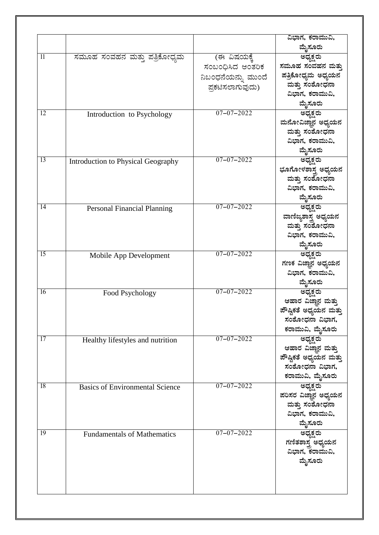|                 |                                        |                    | ವಿಭಾಗ, ಕರಾಮುವಿ,        |
|-----------------|----------------------------------------|--------------------|------------------------|
|                 |                                        |                    | ಮೈಸೂರು                 |
| -11             | ಸಮೂಹ ಸಂವಹನ ಮತ್ತು ಪತ್ರಿಕೋಧ್ಯಮ           | (ಈ ವಿಷಯಕ್ಕೆ        | ಅಧ್ಯಕ್ಷರು              |
|                 |                                        | ಸಂಬಂಧಿಸಿದ ಆಂತರಿಕ   | ಸಮೂಹ ಸಂವಹನ ಮತ್ತು       |
|                 |                                        | ನಿಬಂಧನೆಯನ್ನು ಮುಂದೆ | ಪತ್ರಿಕೋಧ್ಯಮ ಅಧ್ಯಯನ     |
|                 |                                        | ಪ್ರಕಟಿಸಲಾಗುವುದು)   | ಮತ್ತು ಸಂಶೋಧನಾ          |
|                 |                                        |                    | ವಿಭಾಗ, ಕರಾಮುವಿ,        |
|                 |                                        |                    | ಮೈಸೂರು                 |
| $\overline{12}$ | Introduction to Psychology             | $07 - 07 - 2022$   | ಅಧ್ಯಕ್ಷರು              |
|                 |                                        |                    | ಮನೋವಿಜ್ಞಾನ ಅಧ್ಯಯನ      |
|                 |                                        |                    | ಮತ್ತು ಸಂಶೋಧನಾ          |
|                 |                                        |                    | ವಿಭಾಗ, ಕರಾಮುವಿ,        |
|                 |                                        |                    | ಮೈಸೂರು                 |
| 13              | Introduction to Physical Geography     | $07 - 07 - 2022$   | ಅಧ್ಯಕ್ಷರು              |
|                 |                                        |                    | ಭೂಗೋಳಶಾಸ್ತ್ರ ಅಧ್ಯಯನ    |
|                 |                                        |                    | ಮತ್ತು ಸಂಶೋಧನಾ          |
|                 |                                        |                    | ವಿಭಾಗ, ಕರಾಮುವಿ,        |
|                 |                                        |                    | ಮೈಸೂರು                 |
| 14              |                                        | $07 - 07 - 2022$   | ಅಧ್ಯಕ್ಷರು              |
|                 | <b>Personal Financial Planning</b>     |                    |                        |
|                 |                                        |                    | ವಾಣಿಜ್ಯಶಾಸ್ತ್ರ ಅಧ್ಯಯನ  |
|                 |                                        |                    | ಮತ್ತು ಸಂಶೋಧನಾ          |
|                 |                                        |                    | ವಿಭಾಗ, ಕರಾಮುವಿ,        |
|                 |                                        |                    | ಮೈಸೂರು                 |
| $\overline{15}$ | Mobile App Development                 | $07 - 07 - 2022$   | <u>ಅಧ್ಯಕ್ಷರು</u>       |
|                 |                                        |                    | ಗಣಕ ವಿಜ್ಞಾನ ಅಧ್ಯಯನ     |
|                 |                                        |                    | ವಿಭಾಗ, ಕರಾಮುವಿ,        |
|                 |                                        |                    | ಮೈಸೂರು                 |
| 16              | Food Psychology                        | $07 - 07 - 2022$   | ಅಧ್ಯಕ್ಷರು              |
|                 |                                        |                    | ಆಹಾರ ವಿಜ್ಞಾನ ಮತ್ತು     |
|                 |                                        |                    | ಪೌಷ್ಟಿಕತೆ ಅಧ್ಯಯನ ಮತ್ತು |
|                 |                                        |                    | ಸಂಶೋಧನಾ ವಿಭಾಗ,         |
|                 |                                        |                    | ಕರಾಮುವಿ, ಮೈಸೂರು        |
| 17              | Healthy lifestyles and nutrition       | $07 - 07 - 2022$   | ಅಧ್ಯಕ್ಷರು              |
|                 |                                        |                    | ಆಹಾರ ವಿಜ್ಞಾನ ಮತ್ತು     |
|                 |                                        |                    | ಪೌಷ್ಟಿಕತೆ ಅಧ್ಯಯನ ಮತ್ತು |
|                 |                                        |                    | ಸಂಶೋಧನಾ ವಿಭಾಗ,         |
|                 |                                        |                    | ಕರಾಮುವಿ, ಮೈಸೂರು        |
| 18              | <b>Basics of Environmental Science</b> | $07 - 07 - 2022$   | ಅಧ್ಯಕ್ಷರು              |
|                 |                                        |                    | ಪರಿಸರ ವಿಜ್ಞಾನ ಅಧ್ಯಯನ   |
|                 |                                        |                    | ಮತ್ತು ಸಂಶೋಧನಾ          |
|                 |                                        |                    | ವಿಭಾಗ, ಕರಾಮುವಿ,        |
|                 |                                        |                    | ಮೈಸೂರು                 |
| $\overline{19}$ | <b>Fundamentals of Mathematics</b>     | $07 - 07 - 2022$   | <u>ಅಧ್ಯಕ್ಷರು</u>       |
|                 |                                        |                    | ಗಣಿತಶಾಸ್ತ್ರ ಅಧ್ಯಯನ     |
|                 |                                        |                    | ವಿಭಾಗ, ಕರಾಮುವಿ,        |
|                 |                                        |                    | ಮೈಸೂರು                 |
|                 |                                        |                    |                        |
|                 |                                        |                    |                        |
|                 |                                        |                    |                        |
|                 |                                        |                    |                        |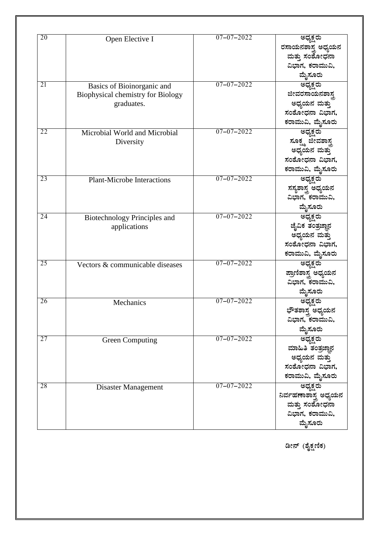| 20              | Open Elective I                     | $07 - 07 - 2022$ | ಅಧ್ಯಕ್ಷರು                            |
|-----------------|-------------------------------------|------------------|--------------------------------------|
|                 |                                     |                  | ರಸಾಯನಶಾಸ್ತ್ರ ಅಧ್ಯಯನ                  |
|                 |                                     |                  | ಮತ್ತು ಸಂಶೋಧನಾ                        |
|                 |                                     |                  | ವಿಭಾಗ, ಕರಾಮುವಿ,                      |
|                 |                                     |                  | ಮೈಸೂರು                               |
| $\overline{21}$ | Basics of Bioinorganic and          | $07 - 07 - 2022$ | ಅಧ್ಯಕ್ಷರು                            |
|                 | Biophysical chemistry for Biology   |                  | ಜೀವರಸಾಯನಶಾಸ್ತ್ರ                      |
|                 | graduates.                          |                  | ಅಧ್ಯಯನ ಮತ್ತು                         |
|                 |                                     |                  | ಸಂಶೋಧನಾ ವಿಭಾಗ,                       |
|                 |                                     |                  | ಕರಾಮುವಿ, ಮೈಸೂರು                      |
| 22              | Microbial World and Microbial       | $07 - 07 - 2022$ | <u> ಅಧ್ಯಕ್ಷ</u> ರು                   |
|                 | Diversity                           |                  | ಸೂಕ್ಷ್ಮ ಜೇವಶಾಸ್ತ್ರ<br>ಅಧ್ಯಯನ ಮತ್ತು   |
|                 |                                     |                  |                                      |
|                 |                                     |                  | ಸಂಶೋಧನಾ ವಿಭಾಗ,                       |
|                 |                                     |                  | ಕರಾಮುವಿ, ಮೈಸೂರು                      |
| 23              | <b>Plant-Microbe Interactions</b>   | $07 - 07 - 2022$ | <u>ಅಧ್ಯಕ್ಷ</u> ರು                    |
|                 |                                     |                  | ಸಸೃಶಾಸ್ತ್ರ ಅಧ್ಯಯನ<br>ವಿಭಾಗ, ಕರಾಮುವಿ, |
|                 |                                     |                  |                                      |
|                 |                                     |                  | ಮೈಸೂರು                               |
| 24              | <b>Biotechnology Principles and</b> | $07 - 07 - 2022$ | <u>ಅಧ್ಯಕ್ಷರು</u>                     |
|                 | applications                        |                  | ಜೈವಿಕ ತಂತ್ರಜ್ಞಾನ                     |
|                 |                                     |                  | ಅಧ್ಯಯನ ಮತ್ತು                         |
|                 |                                     |                  | ಸಂಶೋಧನಾ ವಿಭಾಗ,                       |
|                 |                                     |                  | ಕರಾಮುವಿ, ಮೈಸೂರು                      |
| 25              | Vectors & communicable diseases     | $07 - 07 - 2022$ | ___<br>ಅಧ್ಯಕ್ಷರು                     |
|                 |                                     |                  | ಪ್ರಾಣಿಶಾಸ್ತ್ರ ಅಧ್ಯಯನ                 |
|                 |                                     |                  | ವಿಭಾಗ, ಕರಾಮುವಿ,                      |
|                 |                                     |                  | ಮೈಸೂರು                               |
| 26              | Mechanics                           | $07 - 07 - 2022$ | <u>ಅಧ್ಯಕ್ಷ</u> ರು                    |
|                 |                                     |                  | ಭೌತಶಾಸ್ತ್ರ ಅಧ್ಯಯನ<br>ವಿಭಾಗ, ಕರಾಮುವಿ, |
|                 |                                     |                  |                                      |
|                 |                                     |                  | ಮೈಸೂರು                               |
| 27              | <b>Green Computing</b>              | $07 - 07 - 2022$ | ಅಧ್ಯಕ್ಷರು                            |
|                 |                                     |                  | ಮಾಹಿತಿ ತಂತ್ರಜ್ಞಾನ                    |
|                 |                                     |                  | ಅಧ್ಯಯನ ಮತ್ತು                         |
|                 |                                     |                  | ಸಂಶೋಧನಾ ವಿಭಾಗ,                       |
|                 |                                     |                  | ಕರಾಮುವಿ, ಮೈಸೂರು                      |
| 28              | Disaster Management                 | $07 - 07 - 2022$ | ಅಧ್ಯಕ್ಷರು                            |
|                 |                                     |                  | ನಿರ್ವಹಣಾಶಾಸ್ತ್ರ ಅಧ್ಯಯನ               |
|                 |                                     |                  | ಮತ್ತು ಸಂಶೋಧನಾ<br>ವಿಭಾಗ, ಕರಾಮುವಿ,     |
|                 |                                     |                  |                                      |
|                 |                                     |                  | ಮೈಸೂರು                               |

ಡೀನ್ (ಶೈಕ್ಷಣಿಕ)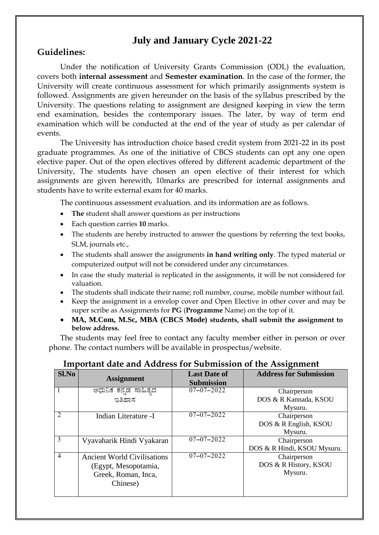### **July and January Cycle 2021-22**

#### **Guidelines:**

Under the notification of University Grants Commission (ODL) the evaluation, covers both **internal assessment** and **Semester examination**. In the case of the former, the University will create continuous assessment for which primarily assignments system is followed. Assignments are given hereunder on the basis of the syllabus prescribed by the University. The questions relating to assignment are designed keeping in view the term end examination, besides the contemporary issues. The later, by way of term end examination which will be conducted at the end of the year of study as per calendar of events.

The University has introduction choice based credit system from 2021-22 in its post graduate programmes. As one of the initiative of CBCS students can opt any one open elective paper. Out of the open electives offered by different academic department of the University, The students have chosen an open elective of their interest for which assignments are given herewith, 10marks are prescribed for internal assignments and students have to write external exam for 40 marks.

The continuous assessment evaluation. and its information are as follows.

- **The** student shall answer questions as per instructions
- Each question carries **10** marks.
- The students are hereby instructed to answer the questions by referring the text books, SLM, journals etc.,
- The students shall answer the assignments **in hand writing only**. The typed material or computerized output will not be considered under any circumstances.
- In case the study material is replicated in the assignments, it will be not considered for valuation.
- The students shall indicate their name; roll number, course, mobile number without fail.
- Keep the assignment in a envelop cover and Open Elective in other cover and may be super scribe as Assignments for **PG** (**Programme** Name) on the top of it.
- **MA, M.Com, M.Sc, MBA (CBCS Mode) students, shall submit the assignment to below address.**

The students may feel free to contact any faculty member either in person or over phone. The contact numbers will be available in prospectus/website.

| Sl.No          | <b>Assignment</b>                  | <b>Last Date of</b><br><b>Submission</b> | <b>Address for Submission</b> |
|----------------|------------------------------------|------------------------------------------|-------------------------------|
|                | ಆಧುನಿಕ ಕನ್ನಡ ಸಾಹಿತ್ಯದ              | $07 - 07 - 2022$                         | Chairperson                   |
|                | ಇತಿಹಾಸ                             |                                          | DOS & R Kannada, KSOU         |
|                |                                    |                                          | Mysuru.                       |
| $\mathfrak{D}$ | Indian Literature -I               | $07 - 07 - 2022$                         | Chairperson                   |
|                |                                    |                                          | DOS & R English, KSOU         |
|                |                                    |                                          | Mysuru.                       |
| 3              | Vyavaharik Hindi Vyakaran          | $07 - 07 - 2022$                         | Chairperson                   |
|                |                                    |                                          | DOS & R Hindi, KSOU Mysuru.   |
| $\overline{4}$ | <b>Ancient World Civilisations</b> | $07 - 07 - 2022$                         | Chairperson                   |
|                | (Egypt, Mesopotamia,               |                                          | DOS & R History, KSOU         |
|                | Greek, Roman, Inca,                |                                          | Mysuru.                       |
|                | Chinese)                           |                                          |                               |
|                |                                    |                                          |                               |

#### **Important date and Address for Submission of the Assignment**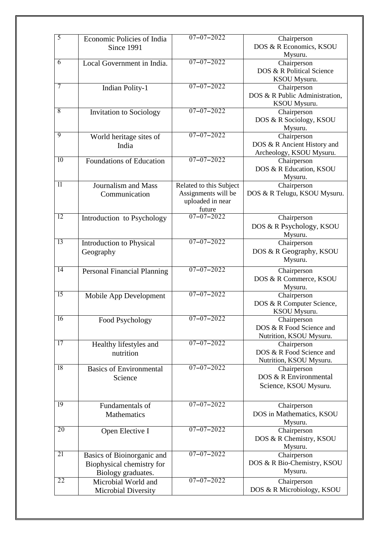| 5               | Economic Policies of India<br>Since 1991                                      | $07 - 07 - 2022$                                                             | Chairperson<br>DOS & R Economics, KSOU<br>Mysuru.                      |
|-----------------|-------------------------------------------------------------------------------|------------------------------------------------------------------------------|------------------------------------------------------------------------|
| 6               | Local Government in India.                                                    | $07 - 07 - 2022$                                                             | Chairperson<br>DOS & R Political Science<br>KSOU Mysuru.               |
| 7               | <b>Indian Polity-1</b>                                                        | $07 - 07 - 2022$                                                             | Chairperson<br>DOS & R Public Administration,<br>KSOU Mysuru.          |
| $\overline{8}$  | Invitation to Sociology                                                       | $07 - 07 - 2022$                                                             | Chairperson<br>DOS & R Sociology, KSOU<br>Mysuru.                      |
| 9               | World heritage sites of<br>India                                              | $07 - 07 - 2022$                                                             | Chairperson<br>DOS & R Ancient History and<br>Archeology, KSOU Mysuru. |
| 10              | <b>Foundations of Education</b>                                               | $07 - 07 - 2022$                                                             | Chairperson<br>DOS & R Education, KSOU<br>Mysuru.                      |
| 11              | <b>Journalism and Mass</b><br>Communication                                   | Related to this Subject<br>Assignments will be<br>uploaded in near<br>future | Chairperson<br>DOS & R Telugu, KSOU Mysuru.                            |
| $\overline{12}$ | Introduction to Psychology                                                    | $07 - 07 - 2022$                                                             | Chairperson<br>DOS & R Psychology, KSOU<br>Mysuru.                     |
| 13              | Introduction to Physical<br>Geography                                         | $07 - 07 - 2022$                                                             | Chairperson<br>DOS & R Geography, KSOU<br>Mysuru.                      |
| $\overline{14}$ | <b>Personal Financial Planning</b>                                            | $07 - 07 - 2022$                                                             | Chairperson<br>DOS & R Commerce, KSOU<br>Mysuru.                       |
| 15              | Mobile App Development                                                        | $07 - 07 - 2022$                                                             | Chairperson<br>DOS & R Computer Science,<br>KSOU Mysuru.               |
| 16              | Food Psychology                                                               | $07 - 07 - 2022$                                                             | Chairperson<br>DOS & R Food Science and<br>Nutrition, KSOU Mysuru.     |
| $\overline{17}$ | Healthy lifestyles and<br>nutrition                                           | $07 - 07 - 2022$                                                             | Chairperson<br>DOS & R Food Science and<br>Nutrition, KSOU Mysuru.     |
| 18              | <b>Basics of Environmental</b><br>Science                                     | $07 - 07 - 2022$                                                             | Chairperson<br>DOS & R Environmental<br>Science, KSOU Mysuru.          |
| $\overline{19}$ | Fundamentals of<br>Mathematics                                                | $07 - 07 - 2022$                                                             | Chairperson<br>DOS in Mathematics, KSOU<br>Mysuru.                     |
| 20              | Open Elective I                                                               | $07 - 07 - 2022$                                                             | Chairperson<br>DOS & R Chemistry, KSOU<br>Mysuru.                      |
| 21              | Basics of Bioinorganic and<br>Biophysical chemistry for<br>Biology graduates. | $07 - 07 - 2022$                                                             | Chairperson<br>DOS & R Bio-Chemistry, KSOU<br>Mysuru.                  |
| 22              | Microbial World and<br>Microbial Diversity                                    | $07 - 07 - 2022$                                                             | Chairperson<br>DOS & R Microbiology, KSOU                              |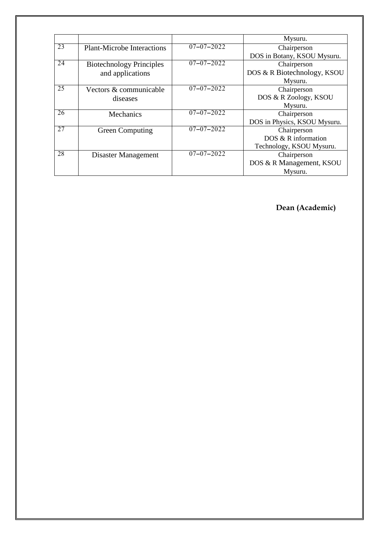|    |                                   |                  | Mysuru.                      |
|----|-----------------------------------|------------------|------------------------------|
| 23 | <b>Plant-Microbe Interactions</b> | $07 - 07 - 2022$ | Chairperson                  |
|    |                                   |                  | DOS in Botany, KSOU Mysuru.  |
| 24 | <b>Biotechnology Principles</b>   | $07 - 07 - 2022$ | Chairperson                  |
|    | and applications                  |                  | DOS & R Biotechnology, KSOU  |
|    |                                   |                  | Mysuru.                      |
| 25 | Vectors & communicable            | $07 - 07 - 2022$ | Chairperson                  |
|    | diseases                          |                  | DOS & R Zoology, KSOU        |
|    |                                   |                  | Mysuru.                      |
| 26 | Mechanics                         | $07 - 07 - 2022$ | Chairperson                  |
|    |                                   |                  | DOS in Physics, KSOU Mysuru. |
| 27 | <b>Green Computing</b>            | $07 - 07 - 2022$ | Chairperson                  |
|    |                                   |                  | DOS & R information          |
|    |                                   |                  | Technology, KSOU Mysuru.     |
| 28 | Disaster Management               | $07 - 07 - 2022$ | Chairperson                  |
|    |                                   |                  | DOS & R Management, KSOU     |
|    |                                   |                  | Mysuru.                      |

 **Dean (Academic)**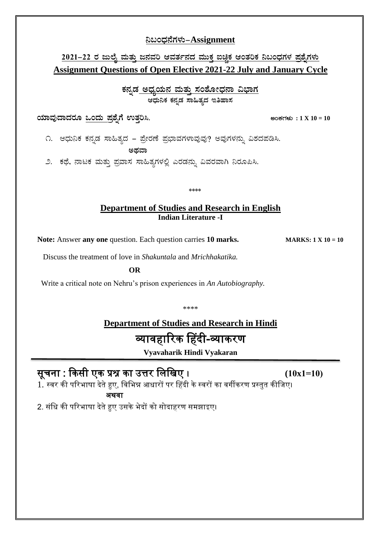#### **¤§AzsÀ£ÉUÀ¼ÀÄ-Assignment**

#### <u>2021–22 ರ ಜುಲೈ ಮತ್ತು ಜನವರಿ ಆವರ್ತನದ ಮುಕ್ತ ಐಚ್ಛಿಕ ಆಂತರಿಕ ನಿಬಂಧಗಳ ಪ್ರಶ್ನೆಗಳು</u> **Assignment Questions of Open Elective 2021-22 July and January Cycle**

<u>ಕನ್ನಡ ಅಧ್ಯಯನ ಮತ್ತು ಸಂಶೋಧನಾ ವಿಭಾಗ</u> ಆಧುನಿಕ ಕನ್ನಡ ಸಾಹಿತ್ಯದ **ಇತಿಹಾಸ** 

**AiÀiÁªÀÅzÁzÀgÀÆ MAzÀÄ ¥Àæ±ÉßUÉ GvÀÛj¹. CAPÀUÀ¼ÀÄ : 1 X 10 = 10**

೧. ಆಧುನಿಕ ಕನ್ನಡ ಸಾಹಿತ್ಯದ – ಪ್ರೇರಣೆ ಪ್ರಭಾವಗಳಾವುವು? ಅವುಗಳನ್ನು ವಿಶದಪಡಿಸಿ. ಅಥವಾ

೨. ಕಥೆ, ನಾಟಕ ಮತ್ತು ಪ್ರವಾಸ ಸಾಹಿತ್ಯಗಳಲ್ಲಿ ಎರಡನ್ನು ವಿವರವಾಗಿ ನಿರೂಪಿಸಿ.

\*\*\*\*

#### **Department of Studies and Research in English Indian Literature -I**

Note: Answer any one question. Each question carries 10 marks. **MARKS: 1 X 10 = 10** 

Discuss the treatment of love in *Shakuntala* and *Mrichhakatika.*

**OR**

Write a critical note on Nehru's prison experiences in *An Autobiography.*

\*\*\*\*

# **Department of Studies and Research in Hindi** व्यावहारिक हहदी-व्याकिण

**Vyavaharik Hindi Vyakaran** Ī

# सूचना : ककसी एक प्रश्न का उत्ति लिलिए । **(10x1=10)**

 $1.$  स्वर की परिभाषा देते हुए, विभिन्न आधारों पर हिंदी के स्वरों का वर्गीकरण प्रस्तुत कीजिए। अथवा

2. संधि की परिभाषा देते हुए उसके भेदों को सोदाहरण समझाइए।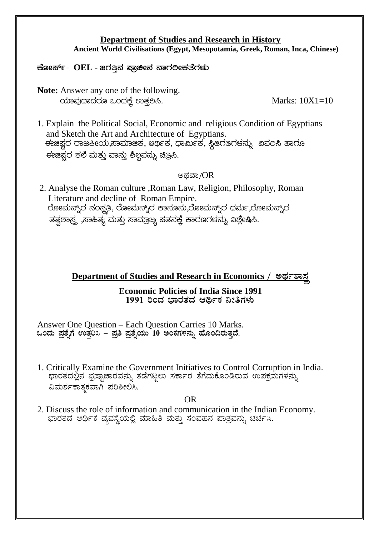#### **Department of Studies and Research in History Ancient World Civilisations (Egypt, Mesopotamia, Greek, Roman, Inca, Chinese)**

**PÉÆÃ¸ïð- OEL - dUÀwÛ£À ¥ÁæaãÀ £ÁUÀjÃP ÀvÉUÀ¼ÀÄ**

**Note:** Answer any one of the following. AiÀiÁªÀÅzÁzÀgÀÆ MAzÀPÉÌ GvÀÛj¹. Marks: 10X1=10

1. Explain the Political Social, Economic and religious Condition of Egyptians and Sketch the Art and Architecture of Egyptians. <u>ಈಜಿಫ್ತರ ರಾಜಕೀಯ,ಸಾಮಾಜಿಕ, ಆರ್</u>ಥಿಕ, ಧಾರ್ಮಿಕ, ಸ್ಥಿತಿರತಿರಳನ್ನು ವಿವಲಸಿ ಹಾರೂ ಈಜಿಫ್ಸರ ಕಲಿ ಮತ್ತು ವಾಸ್ತು ಶಿಲ್ಪವನ್ನು **ಚಿ**ತ್ರಿಸಿ.

#### ಅಥವಾ/ $OR$

2. Analyse the Roman culture ,Roman Law, Religion, Philosophy, Roman Literature and decline of Roman Empire. ರೋಮನ್ನ್ರ್ ಸಂಸ್ಥತಿ, ರೋಮನ್ನ್ರ್ ಕಾನೂನು,ರೋಮನ್ನ್ರ್ ಧರ್ಮ,ರೋಮನ್ನ್ರ್ ತತ್ತಶಾಸ್ತ್ರ ,ಸಾಹಿತ್ಯ ಮತ್ತು ಸಾಮ್ರಾಜ್ಯ ಪತನಕ್ತೆ ಕಾರಣಗಳನ್ನು ಖಶ್ಲೇಷಿಸಿ.

**Department of Studies and Research in Economics / ওল্লাভার্** 

#### **Economic Policies of India Since 1991** <u>1991</u> ರಿಂದ ಭಾರತದ ಆರ್ಥಿಕ ನೀತಿಗಳು

Answer One Question – Each Question Carries 10 Marks. **MAzÀÄ ¥Àæ±ÉßUÉ GvÀÛj¹ - ¥Àæw ¥Àæ±ÉßAiÀÄÄ 10 CAPÀUÀ¼À£ÀÄß ºÉÆA¢gÀÄvÀÛzÉ.**

1. Critically Examine the Government Initiatives to Control Corruption in India. ಭಾರತದಲ್ಲಿನ ಭ್ರಷ್ಟಾಚಾರವನ್ನು ತಡೆಗಟ್ಟಲು ಸರ್ಕಾರ ತೆಗೆದುಕೊಂಡಿರುವ ಉಪಕ್ರಮೆಗಳನ್ನು ವಿಮರ್ಶಕಾತ್ಮಕವಾಗಿ ಪರಿಶೀಲಿಸಿ.

#### OR

2. Discuss the role of information and communication in the Indian Economy. ಭಾರತದ ಆರ್ಥಿಕ ವ್ಯವಸ್ಥೆಯಲ್ಲಿ ಮಾಹಿತಿ ಮತ್ತು ಸಂವಹನ ಪಾತ್ರವನ್ನು ಚರ್ಚಿಸಿ.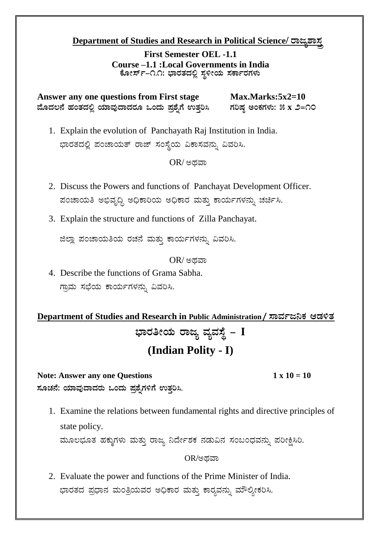#### **Department of Studies and Research in Political Science/ তঃ ক্লয**

**First Semester OEL -1.1 Course –1.1 :Local Governments in India** ಕೋರ್ಸ್–೧.೧: ಭಾರತದಲ್ಲಿ ಸ್ಥಳೀಯ ಸರ್ಕಾರಗಳು

Answer any one questions from First stage Max.Marks:5x2=10  $\hat{\mathbf{a}}$ ವೊದಲನೆ ಹಂತದಲ್ಲಿ ಯಾವುದಾದರೂ ಒಂದು ಪ್ರಶ್ನೆಗೆ ಉತ್ತರಿಸಿ ಗರಿಷ್ಠ ಅಂಕಗಳು: ೫ x ೨=೧೦

1. Explain the evolution of Panchayath Raj Institution in India. ಭಾರತದಲ್ಲಿ ಪಂಚಾಯತ್ ರಾಜ್ ಸಂಸ್ಥೆಯ ವಿಕಾಸವನ್ನು ವಿವರಿಸಿ.

 $OR$ / ಅಥವಾ

- 2. Discuss the Powers and functions of Panchayat Development Officer. ಪಂಚಾಯತಿ ಅಭಿವೃದ್ಧಿ ಅಧಿಕಾರಿಯ ಅಧಿಕಾರ ಮತ್ತು ಕಾರ್ಯಗಳನ್ನು ಚರ್ಚಿಸಿ.
- 3. Explain the structure and functions of Zilla Panchayat.

ಜಿಲ್ಲಾ ಪಂಚಾಯತಿಯ ರಚನೆ ಮತ್ತು ಕಾರ್ಯಗಳನ್ನು ವಿವರಿಸಿ.

 $OR$ / ಅಥವಾ

4. Describe the functions of Grama Sabha. ಗ್ರಾಮ ಸಭೆಯ ಕಾರ್ಯಗಳನ್ನು ವಿವರಿಸಿ.

Department of Studies and Research in Public Administration / ಸಾರ್ವಜನಿಕ ಆಡಳಿತ ಭಾರತೀಯ ರಾಜ್ಯ ವ್ಯವಸ್ಥೆ – **I (Indian Polity - I)**

#### **Note: Answer any one Questions 1 x 10 = 10**

ಸೂಚನೆ: ಯಾವುದಾದರು ಒಂದು ಪ್ರಶೈಗಳಿಗೆ ಉತ್ತರಿಸಿ.

1. Examine the relations between fundamental rights and directive principles of state policy.

ಮೂಲಭೂತ ಹಕ್ಕುಗಳು ಮತ್ತು ರಾಜ್ಯ ನಿರ್ದೇಶಕ ನಡುವಿನ ಸಂಬಂಧವನ್ನು ಪರೀಕ್ಷಿಸಿರಿ.

 $OR$ ಅಥವಾ

2. Evaluate the power and functions of the Prime Minister of India. ಭಾರತದ ಪ್ರಧಾನ ಮಂತ್ರಿಯವರ ಅಧಿಕಾರ ಮತ್ತು ಕಾರ್ತವನ್ನು ಮೌಲ್ಯೀಕರಿಸಿ.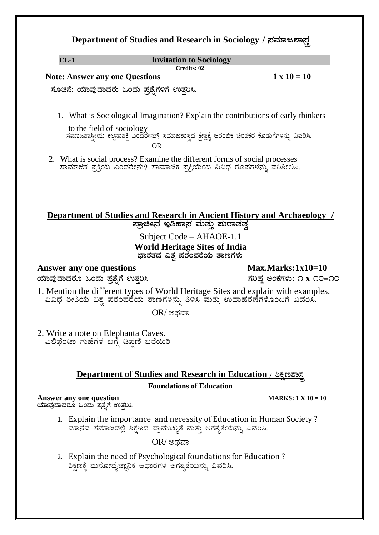#### **Department of Studies and Research in Sociology / ন্তমত প্ৰস্ত**

#### **EL-1 Invitation to Sociology Credits: 02**

 **Note: Answer any one Questions 1 x 10 = 10** 

 **¸ÀÆZÀ£É: AiÀiÁªÀÅzÁzÀgÀÄ MAzÀÄ ¥Àæ±ÉßUÀ½UÉ GvÀÛj¹.** 

1. What is Sociological Imagination? Explain the contributions of early thinkers

 to the field of sociology  $\vec{a}$ ಸಮಾಜಶಾಸ್ತ್ರೀಯ ಕಲ್ಪನಾಶಕ್ತಿ ಎಂದರೇನು? ಸಮಾಜಶಾಸ್ತ್ರದ ಕ್ಷೇತ್ರಕ್ಕೆ ಆರಂಭಿಕ ಚಿಂತಕರ ಕೊಡುಗೆಗಳನ್ನು ವಿವರಿಸಿ. OR

2. What is social process? Examine the different forms of social processes ಸಾಮಾಜಿಕ ಪ್ರಕ್ರಿಯೆ ಎಂದರೇನು? ಸಾಮಾಜಿಕ ಪ್ರಕ್ರಿಯೆಯ ವಿವಿಧ ರೂಪಗಳನ್ನು ಪರಿಶೀಲಿಸಿ.

#### **Department of Studies and Research in Ancient History and Archaeology / ¥ÁæaãÀ EwºÁ¸À ªÀÄvÀÄÛ ¥ÀÄgÁvÀvÀé**

Subject Code – AHAOE-1.1 **World Heritage Sites of India** ಭಾರತದ ವಿಶ್ವ ಪರಂಪರೆಯ **ತಾಣಗಳು** 

Answer any one questions Max.Marks:1x10=10  $\alpha$ ಸ್ರಾಮಧಾದರೂ ಒಂದು ಪ್ರಶ್ನೆಗೆ ಉತ್ತರಿಸಿ ತಮಾರಾಯಣ ಮಾಡಿತು. ಇವರ ಅಂಕಗಳು: ೧ x ೧೦=೧೦

1. Mention the different types of World Heritage Sites and explain with examples. ವಿವಿಧ ರೀತಿಯ ವಿಶ್ವ ಪರಂಪರೆಯ ತಾಣಗಳನ್ನು ತಿಳಿಸಿ ಮತ್ತು ಉದಾಹರಣೆಗಳೊಂದಿಗೆ ವಿವರಿಸಿ.

 $OR$ / ಅಥವಾ

2. Write a note on Elephanta Caves. ಎಲಿಫೆಂಟಾ ಗುಹೆಗಳ ಬಗ್ಗೆ ಟಿಪ್ಪಣಿ ಬರೆಯಿರಿ

#### **Department of Studies and Research in Education / ১২ গড় ফ**

#### **Foundations of Education**

**Answer any one question MARKS: 1 X 10 = 10 ಯಾವುದಾದರೂ ಒಂದು ಪ್ರಶೈಗೆ ಉತ್ತರಿಸಿ** 

1. Explain the importance and necessity of Education in Human Society ? ಮಾನವ ಸಮಾಜದಲ್ಲಿ ಶಿಕ್ಷಣದ ಪ್ರಾಮುಖ್ಯತೆ ಮತ್ತು ಅಗತ್ಯತೆಯನ್ನು ವಿವರಿಸಿ.

 $OR$ / ಅಥವಾ

2. Explain the need of Psychological foundations for Education ? ಶಿಕ್ಷಣಕ್ಕೆ ಮನೋವೈಜ್ಞಾನಿಕ ಆಧಾರಗಳ ಅಗತ್ಯತೆಯನ್ನು ವಿವರಿಸಿ.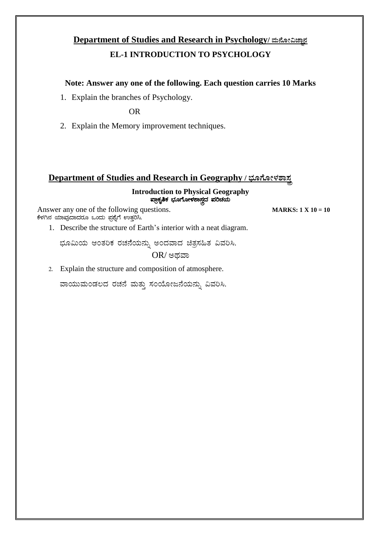# **Department of Studies and Research in Psychology/ ಮನೋವಿಚ್ಚಾನ**

#### **EL-1 INTRODUCTION TO PSYCHOLOGY**

#### **Note: Answer any one of the following. Each question carries 10 Marks**

1. Explain the branches of Psychology.

OR

2. Explain the Memory improvement techniques.

#### **Department of Studies and Research in Geography / ช่อกำละยอม**

#### **Introduction to Physical Geography** ¥ÁæPÀÈwPÀ ¨sÀÆUÉÆÃ¼À±Á¸ÀÛçzÀ ¥ÀjZÀAiÀÄ

Answer any one of the following questions. **MARKS: 1**  $X = 10 = 10$ ಕೆಳಗಿನ ಯಾವುದಾದರೂ ಒಂದು ಪ್ರಶ್ನೆಗೆ ಉತ್ತರಿಸಿ.

1. Describe the structure of Earth's interior with a neat diagram.

ಭೂಮಿಯ ಆಂತರಿಕ ರಚನೆಯನ್ನು ಅಂದವಾದ ಚಿತ್ರಸಹಿತ ವಿವರಿಸಿ.

 $OR$ / ಅಥವಾ

2. Explain the structure and composition of atmosphere.

ವಾಯುಮಂಡಲದ ರಚನೆ ಮತ್ತು ಸಂಯೋಜನೆಯನ್ನು ವಿವರಿಸಿ.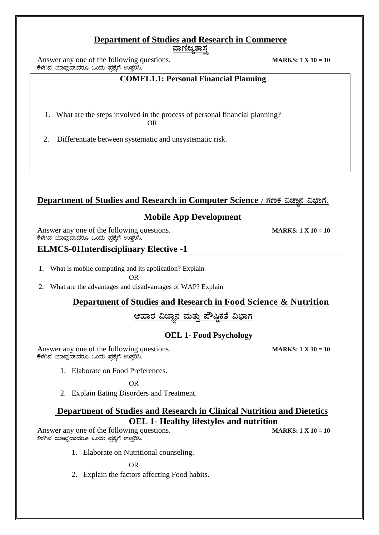#### **Department of Studies and Research in Commerce**

<u>ವಾಣಿಜ್ಯಶಾಸ್ತ</u>

Answer any one of the following questions. **MARKS: 1 X** 10 = 10 ಕೆಳಗಿನ ಯಾವುದಾದರೂ ಒಂದು ಪ್ರಶ್ನೆಗೆ ಉತ್ತರಿಸಿ.

#### **COMEL1.1: Personal Financial Planning**

- 1. What are the steps involved in the process of personal financial planning? **OR** STREET AND THE STREET ASSESSMENT AND THE STREET ASSESSMENT AND THE STREET ASSESSMENT AND THE STREET ASSESSMENT AND THE STREET ASSESSMENT AND THE STREET ASSESSMENT AND THE STREET ASSESSMENT ASSESSMENT ASSESSMENT AND TH
- 2. Differentiate between systematic and unsystematic risk.

#### **Department of Studies and Research in Computer Science /**  $\pi$ **ಣಕ ವಿಜ್ಞಾನ ವಿಭಾಗ.**

#### **Mobile App Development**

Answer any one of the following questions. **MARKS: 1**  $X = 10 = 10$ ಕೆಳಗಿನ ಯಾವುದಾದರೂ ಒಂದು ಪ್ರಶ್ನೆಗೆ ಉತ್ತರಿಸಿ.

#### **ELMCS-01Interdisciplinary Elective -1**

- 1. What is mobile computing and its application? Explain OR
- 2. What are the advantages and disadvantages of WAP? Explain

#### **Department of Studies and Research in Food Science & Nutrition**

#### ಆಹಾರ ವಿಜ್ಞಾನ ಮತ್ತು ಪೌಷ್ಠಿಕತೆ ವಿಭಾಗ

#### **OEL 1- Food Psychology**

Answer any one of the following questions. **MARKS: 1 X** 10 = 10 ಕೆಳಗಿನ ಯಾವುದಾದರೂ ಒಂದು ಪ್ರಶ್ನೆಗೆ ಉತ್ತರಿಸಿ.

1. Elaborate on Food Preferences.

OR

2. Explain Eating Disorders and Treatment.

#### **Department of Studies and Research in Clinical Nutrition and Dietetics OEL 1- Healthy lifestyles and nutrition**

Answer any one of the following questions. **MARKS: 1 X** 10 = 10  $\vec{\cdot}$ ಕೆಳಗಿನ ಯಾವುದಾದರೂ ಒಂದು ಪ್ರಶ್ನೆಗೆ ಉತ್ತರಿಸಿ.

1. Elaborate on Nutritional counseling.

OR

2. Explain the factors affecting Food habits.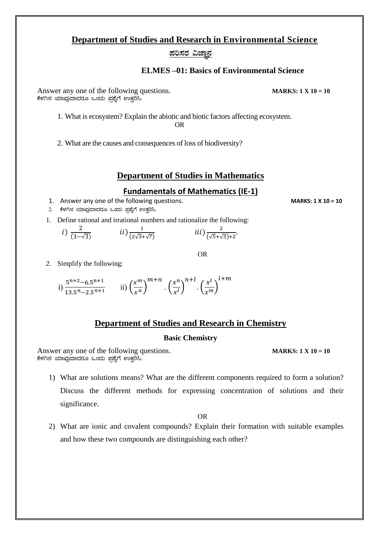#### **Department of Studies and Research in Environmental Science**

#### $\overline{x}$ ರಿಸರ ವಿಜ್ಞಾನ

#### **ELMES –01: Basics of Environmental Science**

Answer any one of the following questions. **MARKS: 1**  $X$  10 = 10 ಕೆಳಗಿನ ಯಾವುದಾದರೂ ಒಂದು ಪ್ರಶ್ನೆಗೆ ಉತ್ತರಿಸಿ.

1. What is ecosystem? Explain the abiotic and biotic factors affecting ecosystem.

OR

2. What are the causes and consequences of loss of biodiversity?

#### **Department of Studies in Mathematics**

#### **Fundamentals of Mathematics (IE-1)**

- 1. Answer any one of the following questions. **MARKS: 1 X 10 = 10**
- 2. ಕೆಳಗಿನ ಯಾವುದಾದರೂ ಒಂದು ಪ್ರಶ್ನೆಗೆ ಉತ್ತರಿಸಿ.
- 1. Define rational and irrational numbers and rationalize the following:

*i*) 
$$
\frac{2}{(3-\sqrt{3})}
$$
 *ii*)  $\frac{1}{(2\sqrt{3}+\sqrt{7})}$  *iii*)  $\frac{2}{(\sqrt{5}+\sqrt{3})+2}$ .

OR

2. Simplify the following:

i) 
$$
\frac{5^{n+2} - 6.5^{n+1}}{13.5^n - 2.5^{n+1}}
$$
 ii)  $\left(\frac{x^m}{x^n}\right)^{m+n}$ .  $\left(\frac{x^n}{x^n}\right)^{n+l}$ .  $\left(\frac{x^l}{x^m}\right)^{l+m}$ 

#### **Department of Studies and Research in Chemistry**

#### **Basic Chemistry**

Answer any one of the following questions. **MARKS: 1**  $X = 10 = 10$ ಕೆಳಗಿನ ಯಾವುದಾದರೂ ಒಂದು ಪ್ರಶ್ನೆಗೆ ಉತ್ತರಿಸಿ.

1) What are solutions means? What are the different components required to form a solution? Discuss the different methods for expressing concentration of solutions and their significance.

OR

2) What are ionic and covalent compounds? Explain their formation with suitable examples and how these two compounds are distinguishing each other?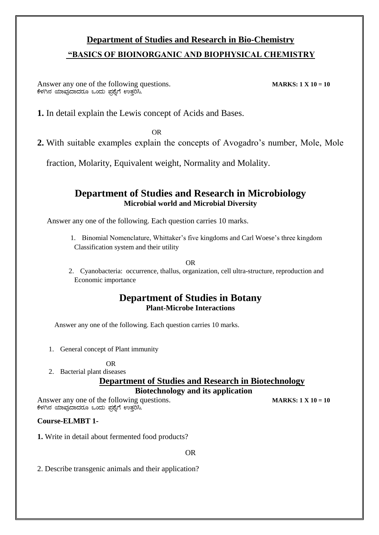## **Department of Studies and Research in Bio-Chemistry "BASICS OF BIOINORGANIC AND BIOPHYSICAL CHEMISTRY**

Answer any one of the following questions. **MARKS: 1**  $\times$  10 = 10 ಕೆಳಗಿನ ಯಾವುದಾದರೂ ಒಂದು ಪ್ರಶ್ನೆಗೆ ಉತ್ತರಿಸಿ.

**1.** In detail explain the Lewis concept of Acids and Bases.

OR

**2.** With suitable examples explain the concepts of Avogadro's number, Mole, Mole

fraction, Molarity, Equivalent weight, Normality and Molality.

#### **Department of Studies and Research in Microbiology Microbial world and Microbial Diversity**

Answer any one of the following. Each question carries 10 marks.

1. Binomial Nomenclature, Whittaker's five kingdoms and Carl Woese's three kingdom Classification system and their utility

#### OR

2. Cyanobacteria: occurrence, thallus, organization, cell ultra-structure, reproduction and Economic importance

#### **Department of Studies in Botany Plant-Microbe Interactions**

Answer any one of the following. Each question carries 10 marks.

1. General concept of Plant immunity

OR

2. Bacterial plant diseases

#### **Department of Studies and Research in Biotechnology Biotechnology and its application**

Answer any one of the following questions. **MARKS: 1**  $X = 10 = 10$ ಕೆಳಗಿನ ಯಾವುದಾದರೂ ಒಂದು ಪ್ರಶ್ನೆಗೆ ಉತ್ತರಿಸಿ.

#### **Course-ELMBT 1-**

**1.** Write in detail about fermented food products?

OR

2. Describe transgenic animals and their application?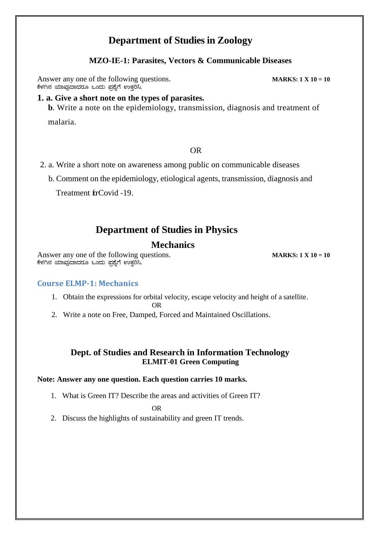### **Department of Studies in Zoology**

#### **MZO-IE-1: Parasites, Vectors & Communicable Diseases**

Answer any one of the following questions. **MARKS: 1 X** 10 = 10 ಕೆಳಗಿನ ಯಾವುದಾದರೂ ಒಂದು ಪ್ರಶ್ನೆಗೆ ಉತ್ತರಿಸಿ.

#### **1. a. Give a short note on the types of parasites.**

**b**. Write a note on the epidemiology, transmission, diagnosis and treatment of

malaria.

#### OR

- 2. a. Write a short note on awareness among public on communicable diseases
	- b. Comment on the epidemiology, etiological agents, transmission, diagnosis and

Treatment frCovid -19.

#### **Department of Studies in Physics**

#### **Mechanics**

Answer any one of the following questions. **MARKS: 1 X** 10 = 10 ಕೆಳಗಿನ ಯಾವುದಾದರೂ ಒಂದು ಪ್ರಶ್ನೆಗೆ ಉತ್ತರಿಸಿ.

#### **Course ELMP-1: Mechanics**

1. Obtain the expressions for orbital velocity, escape velocity and height of a satellite.

OR

2. Write a note on Free, Damped, Forced and Maintained Oscillations.

#### **Dept. of Studies and Research in Information Technology ELMIT-01 Green Computing**

#### **Note: Answer any one question. Each question carries 10 marks.**

1. What is Green IT? Describe the areas and activities of Green IT?

OR

2. Discuss the highlights of sustainability and green IT trends.